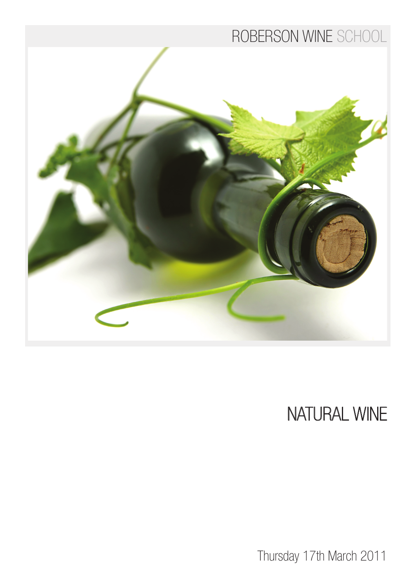### ROBERSON WINE SCHOOL



# NATURAL WINE

Thursday 17th March 2011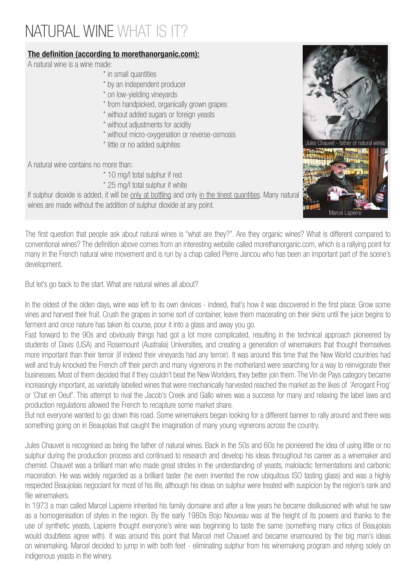## NATURAL WINE WHAT IS IT?

### The definition (according to morethanorganic.com):

A natural wine is a wine made:

- \* in small quantities
- \* by an independent producer
- \* on low-yielding vineyards
- \* from handpicked, organically grown grapes
- \* without added sugars or foreign yeasts
- \* without adjustments for acidity
- \* without micro-oxygenation or reverse-osmosis
- \* little or no added sulphites

A natural wine contains no more than:

- \* 10 mg/l total sulphur if red
- \* 25 mg/l total sulphur if white

If sulphur dioxide is added, it will be only at bottling and only in the tinest quantities. Many natural wines are made without the addition of sulphur dioxide at any point.

The first question that people ask about natural wines is "what are they?". Are they organic wines? What is different compared to conventional wines? The definition above comes from an interesting website called morethanorganic.com, which is a rallying point for many in the French natural wine movement and is run by a chap called Pierre Jancou who has been an important part of the scene's development.

But let's go back to the start. What are natural wines all about?

In the oldest of the olden days, wine was left to its own devices - indeed, that's how it was discovered in the first place. Grow some vines and harvest their fruit. Crush the grapes in some sort of container, leave them macerating on their skins until the juice begins to ferment and once nature has taken its course, pour it into a glass and away you go.

Fast forward to the 90s and obviously things had got a lot more complicated, resulting in the technical approach pioneered by students of Davis (USA) and Rosemount (Australia) Universities, and creating a generation of winemakers that thought themselves more important than their terroir (if indeed their vineyards had any terroir). It was around this time that the New World countries had well and truly knocked the French off their perch and many vignerons in the motherland were searching for a way to reinvigorate their businesses. Most of them decided that if they couldn't beat the New Worlders, they better join them. The Vin de Pays category became increasingly important, as varietally labelled wines that were mechanically harvested reached the market as the likes of 'Arrogant Frog' or 'Chat en Oeuf'. This attempt to rival the Jacob's Creek and Gallo wines was a success for many and relaxing the label laws and production regulations allowed the French to recapture some market share.

But not everyone wanted to go down this road. Some winemakers began looking for a different banner to rally around and there was something going on in Beaujolais that caught the imagination of many young vignerons across the country.

Jules Chauvet is recognised as being the father of natural wines. Back in the 50s and 60s he pioneered the idea of using little or no sulphur during the production process and continued to research and develop his ideas throughout his career as a winemaker and chemist. Chauvet was a brilliant man who made great strides in the understanding of yeasts, malolactic fermentations and carbonic maceration. He was widely regarded as a brilliant taster (he even invented the now ubiquitous ISO tasting glass) and was a highly respected Beaujolais negociant for most of his life, although his ideas on sulphur were treated with suspicion by the region's rank and file winemakers.

In 1973 a man called Marcel Lapierre inherited his family domaine and after a few years he became disillusioned with what he saw as a homogenisation of styles in the region. By the early 1980s Bojo Nouveau was at the height of its powers and thanks to the use of synthetic yeasts, Lapierre thought everyone's wine was beginning to taste the same (something many critics of Beaujolais would doubtless agree with). It was around this point that Marcel met Chauvet and became enamoured by the big man's ideas on winemaking. Marcel decided to jump in with both feet - eliminating sulphur from his winemaking program and relying solely on indigenous yeasts in the winery.